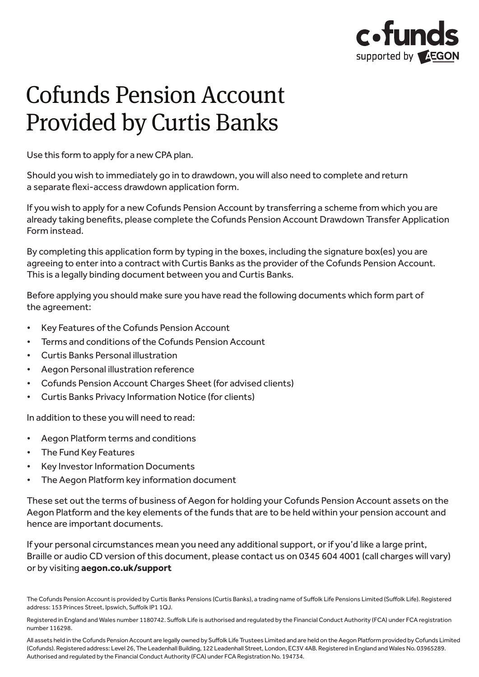

# Cofunds Pension Account Provided by Curtis Banks

Use this form to apply for a new CPA plan. Use this form to apply for a new CPA plan.

Should you wish to immediately go in to drawdown, you will also need to complete and return a separate flexi-access drawdown application form.

If you wish to apply for a new Cofunds Pension Account by transferring a scheme from which you are If you wish to apply for a new Cofunds Pension Account by transferring a scheme from which you are already taking benefits, please complete the Cofunds Pension Account Drawdown Transfer Application already taking benefits, please complete the Cofunds Pension Account Drawdown Transfer Application Form instead. Form instead.

By completing this application form by typing in the boxes, including the signature box(es) you are By completing this application form by typing in the boxes, including the signature box(es) you are agreeing to enter into a contract with Curtis Banks as the provider of the Cofunds Pension Account. This is a legally binding document between you and Curtis Banks. is a legally binding document between you and Curtis Banks.

Before applying you should make sure you have read the following documents which form part of the agreement: agreement:

- Key Features of the Cofunds Pension Account Key Features of the Cofunds Pension Account
- Terms and conditions of the Cofunds Pension Account Terms and conditions of the Cofunds Pension Account
- Curtis Banks Personal illustration
- Aegon Personal illustration reference
- Cofunds Pension Account Charges Sheet (for advised clients)
- Curtis Banks Privacy Information Notice (for clients) In addition the service will need to read the service of the service of the service of the service of the service of the service of the service of the service of the service of the service of the service of the service of

In addition to these you will need to read: maddition terms and you minimed to reduce

- Aegon Platform terms and conditions
- The Fund Key Features
- Key Investor Information Documents
- The Aegon Platform key information document The regent factorities information accuracy.

These set out the terms of business of Aegon for holding your Cofunds Pension Account assets on the Aegon Platform and the key elements of the funds that are to be held within your pension account and hence are important documents.

If your personal circumstances mean you need any additional support, or if you'd like a large print, Braille or audio CD version of this document, please contact us on 0345 604 4001 (call charges will vary) or by visiting **[aegon.co.uk/support](http://aegon.co.uk/support)**

All assets held in the Cofunds Pension Account are legally owned by Suffolk Life Trustees Limited and are held on the Aegon Platform provided by Cofunds Limited (Cofunds). Registered address: Level 26, The Leadenhall Building, 122 Leadenhall Street, London, EC3V 4AB. Registered in England and Wales No. 03965289.<br>Authorised and regulated by the Financial Conduct Authority (FCA) und Authorised and regulated by the Financial Conduct Authority (FCA) under FCA Registration No. 194734.

The Cofunds Pension Account is provided by Curtis Banks Pensions (Curtis Banks), a trading name of Suffolk Life Pensions Limited (Suffolk Life). Registered<br>address: 153 Princes Street, Ipswich, Suffolk IP1 1QJ. address: 153 Princes Street, Ipswich, Suffolk IP1 1QJ.

Registered in England and Wales number 1180742. Suffolk Life is authorised and regulated by the Financial Conduct Authority (FCA) under FCA registration number 116298. number 116298.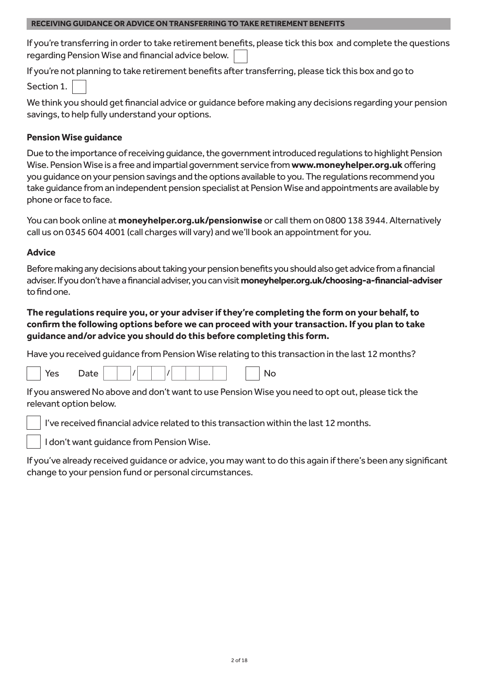# **RECEIVING GUIDANCE OR ADVICE ON TRANSFERRING TO TAKE RETIREMENT BENEFITS**

If you're transferring in order to take retirement benefits, please tick this box and complete the questions regarding Pension Wise and financial advice below.

If you're not planning to take retirement benefits after transferring, please tick this box and go to Section 1.

We think you should get financial advice or guidance before making any decisions regarding your pension savings, to help fully understand your options.

# **Pension Wise guidance**

Due to the importance of receiving guidance, the government introduced regulations to highlight Pension Wise. Pension Wise is a free and impartial government service from **[www.moneyhelper.org.uk](http://www.moneyhelper.org.uk)** offering you guidance on your pension savings and the options available to you. The regulations recommend you take guidance from an independent pension specialist at Pension Wise and appointments are available by phone or face to face.

You can book online at **[moneyhelper.org.uk/pensionwise](http://moneyhelper.org.uk/pensionwise)** or call them on 0800 138 3944. Alternatively call us on 0345 604 4001 (call charges will vary) and we'll book an appointment for you.

# **Advice**

Before making any decisions about taking your pension benefits you should also get advice from a financial adviser. If you don't have a financial adviser, you can visit **[moneyhelper.org.uk/choosing-a-financial-adviser](http://moneyhelper.org.uk/choosing-a-financial-adviser)** to find one.

# **The regulations require you, or your adviser if they're completing the form on your behalf, to confirm the following options before we can proceed with your transaction. If you plan to take guidance and/or advice you should do this before completing this form.**

Have you received guidance from Pension Wise relating to this transaction in the last 12 months?

|  | Date<br>Yes |  |  |  |  |  |  |  |  |  |  | N٥ |
|--|-------------|--|--|--|--|--|--|--|--|--|--|----|
|--|-------------|--|--|--|--|--|--|--|--|--|--|----|

If you answered No above and don't want to use Pension Wise you need to opt out, please tick the relevant option below.

I've received financial advice related to this transaction within the last 12 months.

I don't want guidance from Pension Wise.

If you've already received guidance or advice, you may want to do this again if there's been any significant change to your pension fund or personal circumstances.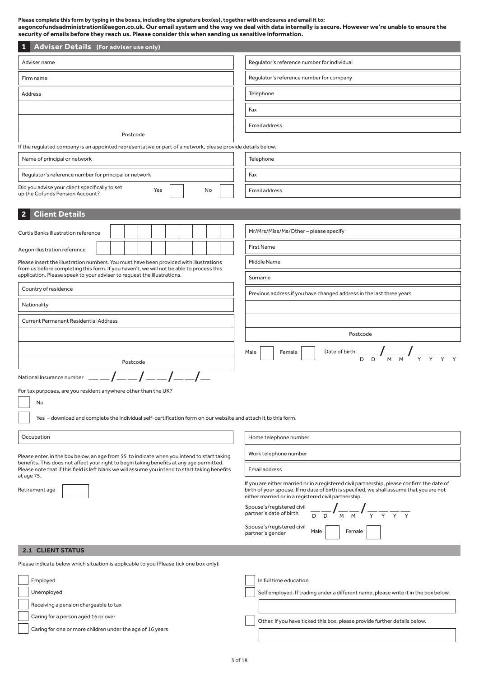**Please complete this form by typing in the boxes, including the signature box(es), together with enclosures and email it to: aegoncofundsadministration@aegon.co.uk. Our email system and the way we deal with data internally is secure. However we're unable to ensure the security of emails before they reach us. Please consider this when sending us sensitive information.**

| <b>Adviser Details (For adviser use only)</b>                                                                                                                                               |                                                                                                                                                                      |
|---------------------------------------------------------------------------------------------------------------------------------------------------------------------------------------------|----------------------------------------------------------------------------------------------------------------------------------------------------------------------|
| Adviser name                                                                                                                                                                                | Regulator's reference number for individual                                                                                                                          |
| Firm name                                                                                                                                                                                   | Regulator's reference number for company                                                                                                                             |
| <b>Address</b>                                                                                                                                                                              | Telephone                                                                                                                                                            |
|                                                                                                                                                                                             | Fax                                                                                                                                                                  |
|                                                                                                                                                                                             | Email address                                                                                                                                                        |
| Postcode                                                                                                                                                                                    |                                                                                                                                                                      |
| If the regulated company is an appointed representative or part of a network, please provide details below.                                                                                 |                                                                                                                                                                      |
| Name of principal or network                                                                                                                                                                | Telephone                                                                                                                                                            |
| Regulator's reference number for principal or network                                                                                                                                       | Fax                                                                                                                                                                  |
| Did you advise your client specifically to set<br>Yes<br>No<br>up the Cofunds Pension Account?                                                                                              | Email address                                                                                                                                                        |
| <b>Client Details</b>                                                                                                                                                                       |                                                                                                                                                                      |
|                                                                                                                                                                                             |                                                                                                                                                                      |
| <b>Curtis Banks illustration reference</b>                                                                                                                                                  | Mr/Mrs/Miss/Ms/Other-please specify                                                                                                                                  |
| Aegon illustration reference                                                                                                                                                                | <b>First Name</b>                                                                                                                                                    |
| Please insert the illustration numbers. You must have been provided with illustrations<br>from us before completing this form. If you haven't, we will not be able to process this          | Middle Name                                                                                                                                                          |
| application. Please speak to your adviser to request the illustrations.                                                                                                                     | Surname                                                                                                                                                              |
| Country of residence                                                                                                                                                                        | Previous address if you have changed address in the last three years                                                                                                 |
| Nationality                                                                                                                                                                                 |                                                                                                                                                                      |
| <b>Current Permanent Residential Address</b>                                                                                                                                                |                                                                                                                                                                      |
|                                                                                                                                                                                             | Postcode                                                                                                                                                             |
|                                                                                                                                                                                             | Date of birth $\frac{1}{D - D}$ $\int \frac{1}{M - M}$ $\int \frac{1}{Y - Y}$ $\frac{1}{Y - Y}$<br>Male<br>Female                                                    |
| Postcode                                                                                                                                                                                    |                                                                                                                                                                      |
| National Insurance number                                                                                                                                                                   |                                                                                                                                                                      |
| For tax purposes, are you resident anywhere other than the UK?                                                                                                                              |                                                                                                                                                                      |
| No                                                                                                                                                                                          |                                                                                                                                                                      |
| Yes - download and complete the individual self-certification form on our website and attach it to this form.                                                                               |                                                                                                                                                                      |
| Occupation                                                                                                                                                                                  | Home telephone number                                                                                                                                                |
| Please enter, in the box below, an age from 55 to indicate when you intend to start taking                                                                                                  | Work telephone number                                                                                                                                                |
| benefits. This does not affect your right to begin taking benefits at any age permitted.<br>Please note that if this field is left blank we will assume you intend to start taking benefits | Email address                                                                                                                                                        |
| at age 75.                                                                                                                                                                                  | If you are either married or in a registered civil partnership, please confirm the date of                                                                           |
| Retirement age                                                                                                                                                                              | birth of your spouse. If no date of birth is specified, we shall assume that you are not<br>either married or in a registered civil partnership.                     |
|                                                                                                                                                                                             | Spouse's/registered civil<br>$\frac{1}{\sqrt{N}}\int_{\mathbb{M}}\frac{1}{\sqrt{N}}\int_{\mathbb{M}}\frac{1}{\sqrt{N}}\frac{1}{\sqrt{N}}$<br>partner's date of birth |
|                                                                                                                                                                                             | Spouse's/registered civil                                                                                                                                            |
|                                                                                                                                                                                             | Male<br>Female<br>partner's gender                                                                                                                                   |
| <b>2.1 CLIENT STATUS</b>                                                                                                                                                                    |                                                                                                                                                                      |
| Please indicate below which situation is applicable to you (Please tick one box only):                                                                                                      |                                                                                                                                                                      |
| Employed                                                                                                                                                                                    | In full time education                                                                                                                                               |
| Unemployed                                                                                                                                                                                  | Self employed. If trading under a different name, please write it in the box below.                                                                                  |
| Receiving a pension chargeable to tax                                                                                                                                                       |                                                                                                                                                                      |
| Caring for a person aged 16 or over                                                                                                                                                         | Other. If you have ticked this box, please provide further details below.                                                                                            |
| Caring for one or more children under the age of 16 years                                                                                                                                   |                                                                                                                                                                      |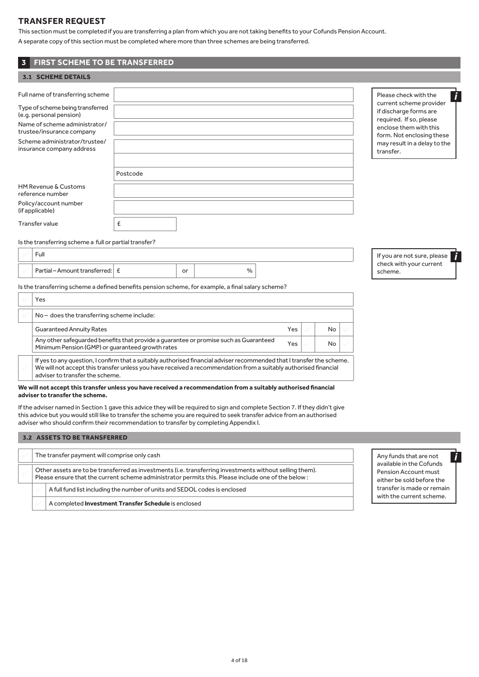# **TRANSFER REQUEST**

**3 FIRST SCHEME TO BE TRANSFERRED**

This section must be completed if you are transferring a plan from which you are not taking benefits to your Cofunds Pension Account. A separate copy of this section must be completed where more than three schemes are being transferred.

#### **3.1 SCHEME DETAILS** Full name of transferring scheme Type of scheme being transferred (e.g. personal pension) Name of scheme administrator/ trustee/insurance company Scheme administrator/trustee/ insurance company address Postcode HM Revenue & Customs reference number Policy/account number (if applicable) Transfer value  $\left| \right|$   $\epsilon$ Is the transferring scheme a full or partial transfer? 4 Full Partial – Amount transferred:  $\vert$  £ or  $\vert$  or  $\vert$  0. Is the transferring scheme a defined benefits pension scheme, for example, a final salary scheme? Yes If you are not sure, please check with your current scheme. Please check with the current scheme provider if discharge forms are required. If so, please enclose them with this form. Not enclosing these may result in a delay to the transfer.

| No – does the transferring scheme include:                                                                                                |            |     |  |
|-------------------------------------------------------------------------------------------------------------------------------------------|------------|-----|--|
| <b>Guaranteed Annuity Rates</b>                                                                                                           | <b>Yes</b> | No  |  |
| Any other safeguarded benefits that provide a quarantee or promise such as Guaranteed<br>Minimum Pension (GMP) or quaranteed growth rates | Yes        | No. |  |
| If yes to any question, I confirm that a suitably authorised financial adviser recommended that I transfer the scheme.                    |            |     |  |

We will not accept this transfer unless you have received a recommendation from a suitably authorised financial adviser to transfer the scheme.

#### **We will not accept this transfer unless you have received a recommendation from a suitably authorised financial adviser to transfer the scheme.**

If the adviser named in Section 1 gave this advice they will be required to sign and complete Section 7. If they didn't give this advice but you would still like to transfer the scheme you are required to seek transfer advice from an authorised adviser who should confirm their recommendation to transfer by completing Appendix I.

#### **3.2 ASSETS TO BE TRANSFERRED**

| The transfer payment will comprise only cash                                                                                                                                                                  |                                                                            |  |  |  |
|---------------------------------------------------------------------------------------------------------------------------------------------------------------------------------------------------------------|----------------------------------------------------------------------------|--|--|--|
| Other assets are to be transferred as investments (i.e. transferring investments without selling them).<br>Please ensure that the current scheme administrator permits this. Please include one of the below: |                                                                            |  |  |  |
|                                                                                                                                                                                                               | A full fund list including the number of units and SEDOL codes is enclosed |  |  |  |
|                                                                                                                                                                                                               | A completed <b>Investment Transfer Schedule</b> is enclosed                |  |  |  |

Any funds that are not available in the Cofunds Pension Account must either be sold before the transfer is made or remain

with the current scheme.

*i*

*i*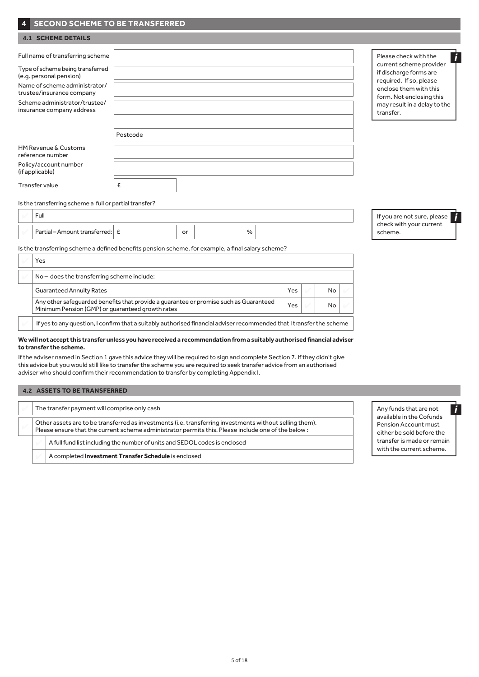# **4 SECOND SCHEME TO BE TRANSFERRED**

## **4.1 SCHEME DETAILS**

| Full name of transferring scheme                            |          | Please check with the                                                         |
|-------------------------------------------------------------|----------|-------------------------------------------------------------------------------|
| Type of scheme being transferred<br>(e.g. personal pension) |          | current scheme provider<br>if discharge forms are                             |
| Name of scheme administrator/<br>trustee/insurance company  |          | required. If so, please<br>enclose them with this<br>form. Not enclosing this |
| Scheme administrator/trustee/<br>insurance company address  |          | may result in a delay to the<br>transfer.                                     |
|                                                             | Postcode |                                                                               |
| HM Revenue & Customs<br>reference number                    |          |                                                                               |
| Policy/account number<br>(if applicable)                    |          |                                                                               |
| Transfer value                                              | £        |                                                                               |
|                                                             |          |                                                                               |

#### Is the transferring scheme a full or partial transfer?

| Fuli                            |    |   |  | If you are not sure, p          |
|---------------------------------|----|---|--|---------------------------------|
| Partial – Amount transferred: E | or | % |  | check with your curi<br>scheme. |

Is the transferring scheme a defined benefits pension scheme, for example, a final salary scheme?

| Yes                                                                                                                                       |     |    |  |
|-------------------------------------------------------------------------------------------------------------------------------------------|-----|----|--|
| No - does the transferring scheme include:                                                                                                |     |    |  |
| <b>Guaranteed Annuity Rates</b>                                                                                                           | Yes | No |  |
| Any other safeguarded benefits that provide a quarantee or promise such as Guaranteed<br>Minimum Pension (GMP) or guaranteed growth rates | Yes | No |  |
| If yes to any question, I confirm that a suitably authorised financial adviser recommended that I transfer the scheme                     |     |    |  |

#### **We will not accept this transfer unless you have received a recommendation from a suitably authorised financial adviser to transfer the scheme.**

If the adviser named in Section 1 gave this advice they will be required to sign and complete Section 7. If they didn't give this advice but you would still like to transfer the scheme you are required to seek transfer advice from an authorised adviser who should confirm their recommendation to transfer by completing Appendix I.

## **4.2 ASSETS TO BE TRANSFERRED**

| The transfer payment will comprise only cash                                                                                                                                                                  |                                                                            |  |  |  |  |
|---------------------------------------------------------------------------------------------------------------------------------------------------------------------------------------------------------------|----------------------------------------------------------------------------|--|--|--|--|
| Other assets are to be transferred as investments (i.e. transferring investments without selling them).<br>Please ensure that the current scheme administrator permits this. Please include one of the below: |                                                                            |  |  |  |  |
|                                                                                                                                                                                                               | A full fund list including the number of units and SEDOL codes is enclosed |  |  |  |  |
|                                                                                                                                                                                                               | A completed <b>Investment Transfer Schedule</b> is enclosed                |  |  |  |  |

please rent

Any funds that are not available in the Cofunds Pension Account must either be sold before the transfer is made or remain with the current scheme.

*i*

*i*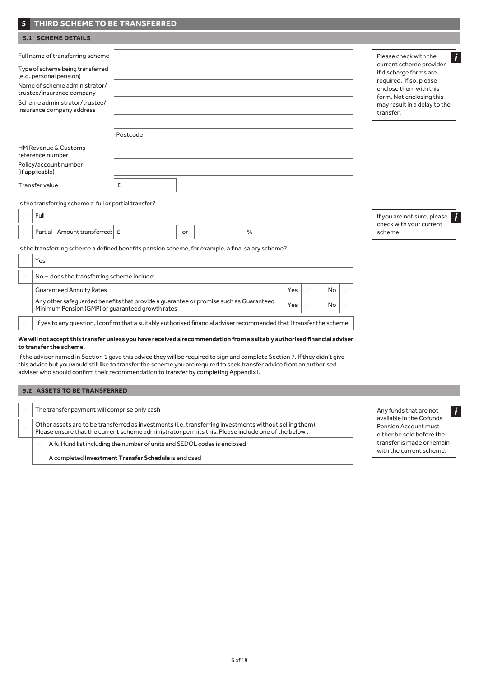# **5 THIRD SCHEME TO BE TRANSFERRED**

| <b>5.1 SCHEME DETAILS</b>                                                                                                                                                                                                   |          |                                                                                                                                                                                                          |
|-----------------------------------------------------------------------------------------------------------------------------------------------------------------------------------------------------------------------------|----------|----------------------------------------------------------------------------------------------------------------------------------------------------------------------------------------------------------|
| Full name of transferring scheme<br>Type of scheme being transferred<br>(e.g. personal pension)<br>Name of scheme administrator/<br>trustee/insurance company<br>Scheme administrator/trustee/<br>insurance company address | Postcode | Please check with the<br>current scheme provider<br>if discharge forms are<br>required. If so, please<br>enclose them with this<br>form. Not enclosing this<br>may result in a delay to the<br>transfer. |
| HM Revenue & Customs<br>reference number                                                                                                                                                                                    |          |                                                                                                                                                                                                          |
| Policy/account number<br>(if applicable)                                                                                                                                                                                    |          |                                                                                                                                                                                                          |
| <b>Transfer value</b>                                                                                                                                                                                                       | £        |                                                                                                                                                                                                          |

#### Is the transferring scheme a full or partial transfer?

| Fuli                            |    |   |  | If you are not sure, please        |
|---------------------------------|----|---|--|------------------------------------|
| Partial – Amount transferred: E | or | % |  | check with your current<br>scheme. |

Is the transferring scheme a defined benefits pension scheme, for example, a final salary scheme?

|  | Yes                                                                                                                                       |     |     |  |
|--|-------------------------------------------------------------------------------------------------------------------------------------------|-----|-----|--|
|  | No - does the transferring scheme include:                                                                                                |     |     |  |
|  | <b>Guaranteed Annuity Rates</b>                                                                                                           | Yes | No  |  |
|  | Any other safeguarded benefits that provide a guarantee or promise such as Guaranteed<br>Minimum Pension (GMP) or quaranteed growth rates | Yes | No. |  |
|  | If yes to any question, I confirm that a suitably authorised financial adviser recommended that I transfer the scheme                     |     |     |  |

#### **We will not accept this transfer unless you have received a recommendation from a suitably authorised financial adviser to transfer the scheme.**

If the adviser named in Section 1 gave this advice they will be required to sign and complete Section 7. If they didn't give this advice but you would still like to transfer the scheme you are required to seek transfer advice from an authorised adviser who should confirm their recommendation to transfer by completing Appendix I.

## **5.2 ASSETS TO BE TRANSFERRED**

| The transfer payment will comprise only cash                                                                                                                                                                  |                                                                            |  |  |  |  |
|---------------------------------------------------------------------------------------------------------------------------------------------------------------------------------------------------------------|----------------------------------------------------------------------------|--|--|--|--|
| Other assets are to be transferred as investments (i.e. transferring investments without selling them).<br>Please ensure that the current scheme administrator permits this. Please include one of the below: |                                                                            |  |  |  |  |
|                                                                                                                                                                                                               | A full fund list including the number of units and SEDOL codes is enclosed |  |  |  |  |
|                                                                                                                                                                                                               | A completed <b>Investment Transfer Schedule</b> is enclosed                |  |  |  |  |



*i*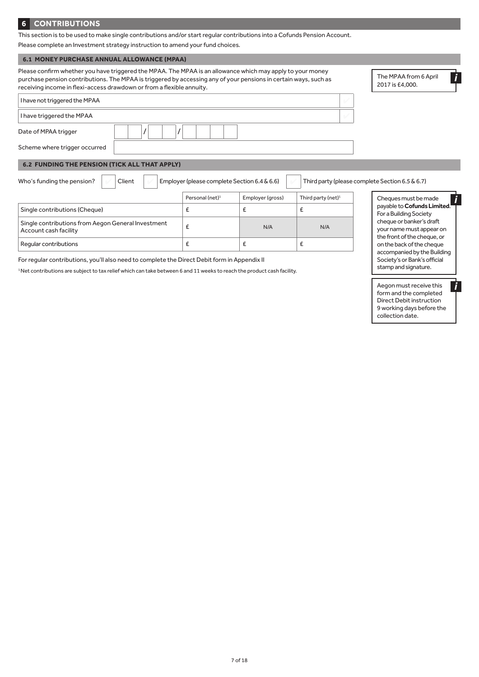## **6 CONTRIBUTIONS**

This section is to be used to make single contributions and/or start regular contributions into a Cofunds Pension Account.

Please complete an Investment strategy instruction to amend your fund choices.

## **6.1 MONEY PURCHASE ANNUAL ALLOWANCE (MPAA)**

| Please confirm whether you have triggered the MPAA. The MPAA is an allowance which may apply to your money<br>purchase pension contributions. The MPAA is triggered by accessing any of your pensions in certain ways, such as<br>receiving income in flexi-access drawdown or from a flexible annuity. | The MPAA from 6 April<br>2017 is £4,000.     |                  |                                |                                                       |
|---------------------------------------------------------------------------------------------------------------------------------------------------------------------------------------------------------------------------------------------------------------------------------------------------------|----------------------------------------------|------------------|--------------------------------|-------------------------------------------------------|
| I have not triggered the MPAA                                                                                                                                                                                                                                                                           |                                              |                  | $\mathcal{L}$                  |                                                       |
| I have triggered the MPAA                                                                                                                                                                                                                                                                               |                                              |                  | V                              |                                                       |
| Date of MPAA trigger                                                                                                                                                                                                                                                                                    |                                              |                  |                                |                                                       |
| Scheme where trigger occurred                                                                                                                                                                                                                                                                           |                                              |                  |                                |                                                       |
| <b>6.2 FUNDING THE PENSION (TICK ALL THAT APPLY)</b>                                                                                                                                                                                                                                                    |                                              |                  |                                |                                                       |
| Who's funding the pension?<br>Client                                                                                                                                                                                                                                                                    | Employer (please complete Section 6.4 & 6.6) |                  |                                | Third party (please complete Section 6.5 & 6.7)       |
|                                                                                                                                                                                                                                                                                                         | Personal (net) <sup>1</sup>                  | Employer (gross) | Third party (net) <sup>1</sup> | Cheques must be made                                  |
| Single contributions (Cheque)                                                                                                                                                                                                                                                                           | £                                            | £                | £                              | payable to Cofunds Limited.<br>For a Building Society |
| Single contributions from Aegon General Investment<br>Account cash facility                                                                                                                                                                                                                             | £                                            | N/A              | N/A                            | cheque or banker's draft<br>your name must appear on  |

For regular contributions, you'll also need to complete the Direct Debit form in Appendix II

1 Net contributions are subject to tax relief which can take between 6 and 11 weeks to reach the product cash facility.

Regular contributions  $\left| \begin{array}{ccc} \epsilon \end{array} \right|$   $\epsilon$   $\left| \begin{array}{ccc} \epsilon \end{array} \right|$ 

your name must appear on the front of the cheque, or on the back of the cheque accompanied by the Building Society's or Bank's official stamp and signature.

Aegon must receive this form and the completed Direct Debit instruction 9 working days before the collection date.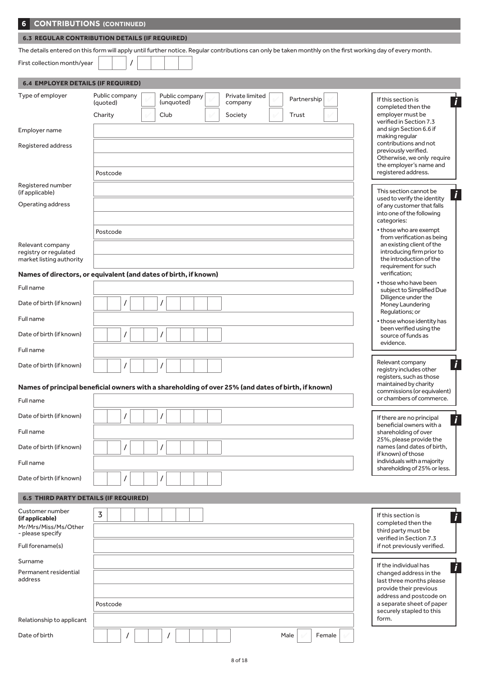| 6                                                                              | <b>CONTRIBUTIONS (CONTINUED)</b>                                                                                                                           |                                                                                                                                                                   |
|--------------------------------------------------------------------------------|------------------------------------------------------------------------------------------------------------------------------------------------------------|-------------------------------------------------------------------------------------------------------------------------------------------------------------------|
|                                                                                | <b>6.3 REGULAR CONTRIBUTION DETAILS (IF REQUIRED)</b>                                                                                                      |                                                                                                                                                                   |
|                                                                                | The details entered on this form will apply until further notice. Regular contributions can only be taken monthly on the first working day of every month. |                                                                                                                                                                   |
| First collection month/year                                                    |                                                                                                                                                            |                                                                                                                                                                   |
| <b>6.4 EMPLOYER DETAILS (IF REQUIRED)</b>                                      |                                                                                                                                                            |                                                                                                                                                                   |
| Type of employer                                                               | Public company<br>Public company<br>Private limited<br>Partnership<br>(unquoted)<br>(quoted)<br>company<br>Charity<br>Club<br>Trust<br>Society             | If this section is<br>$\boldsymbol{i}$<br>completed then the<br>employer must be                                                                                  |
| Employer name                                                                  |                                                                                                                                                            | verified in Section 7.3<br>and sign Section 6.6 if                                                                                                                |
| Registered address                                                             |                                                                                                                                                            | making regular<br>contributions and not<br>previously verified.                                                                                                   |
|                                                                                | Postcode                                                                                                                                                   | Otherwise, we only require<br>the employer's name and<br>registered address.                                                                                      |
| Registered number<br>(if applicable)                                           |                                                                                                                                                            | This section cannot be                                                                                                                                            |
| Operating address                                                              |                                                                                                                                                            | i<br>used to verify the identity<br>of any customer that falls<br>into one of the following<br>categories:                                                        |
| Relevant company<br>registry or regulated<br>market listing authority          | Postcode                                                                                                                                                   | • those who are exempt<br>from verification as being<br>an existing client of the<br>introducing firm prior to<br>the introduction of the<br>requirement for such |
|                                                                                | Names of directors, or equivalent (and dates of birth, if known)                                                                                           | verification;                                                                                                                                                     |
| Full name                                                                      |                                                                                                                                                            | • those who have been<br>subject to Simplified Due                                                                                                                |
| Date of birth (if known)                                                       | 7                                                                                                                                                          | Diligence under the<br>Money Laundering<br>Regulations; or                                                                                                        |
| Full name                                                                      |                                                                                                                                                            | • those whose identity has<br>been verified using the                                                                                                             |
| Date of birth (if known)                                                       | $\prime$                                                                                                                                                   | source of funds as<br>evidence.                                                                                                                                   |
| Full name                                                                      |                                                                                                                                                            |                                                                                                                                                                   |
| Date of birth (if known)                                                       |                                                                                                                                                            | Relevant company<br>$\boldsymbol{i}$<br>registry includes other<br>registers, such as those                                                                       |
|                                                                                | Names of principal beneficial owners with a shareholding of over 25% (and dates of birth, if known)                                                        | maintained by charity<br>commissions (or equivalent)                                                                                                              |
| Full name                                                                      |                                                                                                                                                            | or chambers of commerce.                                                                                                                                          |
| Date of birth (if known)                                                       | $\prime$                                                                                                                                                   | If there are no principal<br>Ī<br>beneficial owners with a                                                                                                        |
| Full name                                                                      |                                                                                                                                                            | shareholding of over<br>25%, please provide the                                                                                                                   |
| Date of birth (if known)                                                       | 7                                                                                                                                                          | names (and dates of birth,<br>if known) of those                                                                                                                  |
| Full name                                                                      |                                                                                                                                                            | individuals with a majority<br>shareholding of 25% or less.                                                                                                       |
| Date of birth (if known)                                                       | $\prime$                                                                                                                                                   |                                                                                                                                                                   |
| <b>6.5 THIRD PARTY DETAILS (IF REQUIRED)</b>                                   |                                                                                                                                                            |                                                                                                                                                                   |
| Customer number<br>(if applicable)<br>Mr/Mrs/Miss/Ms/Other<br>- please specify | $\overline{3}$                                                                                                                                             | If this section is<br>$\boldsymbol{i}$<br>completed then the<br>third party must be                                                                               |
| Full forename(s)                                                               |                                                                                                                                                            | verified in Section 7.3<br>if not previously verified.                                                                                                            |
| Surname                                                                        |                                                                                                                                                            |                                                                                                                                                                   |
| Permanent residential<br>address                                               |                                                                                                                                                            | If the individual has<br>i<br>changed address in the<br>last three months please<br>provide their previous                                                        |
|                                                                                | Postcode                                                                                                                                                   | address and postcode on<br>a separate sheet of paper<br>securely stapled to this                                                                                  |

Date of birth / / Male 4 Female 4

Relationship to applicant

form.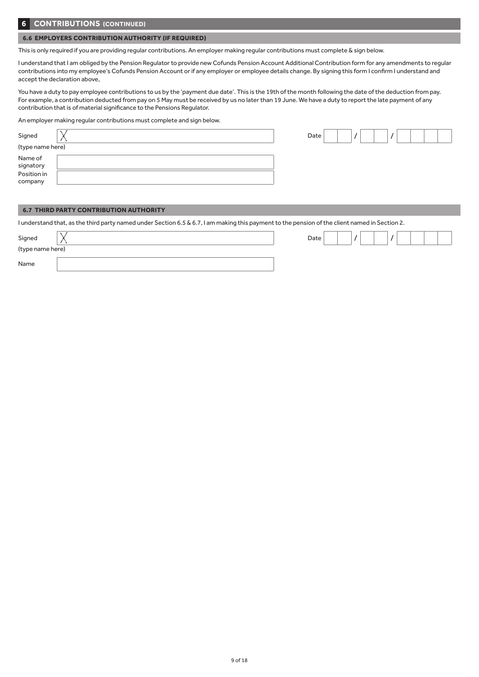## **6 CONTRIBUTIONS (CONTINUED)**

### **6.6 EMPLOYERS CONTRIBUTION AUTHORITY (IF REQUIRED)**

This is only required if you are providing regular contributions. An employer making regular contributions must complete & sign below.

I understand that I am obliged by the Pension Regulator to provide new Cofunds Pension Account Additional Contribution form for any amendments to regular contributions into my employee's Cofunds Pension Account or if any employer or employee details change. By signing this form I confirm I understand and accept the declaration above,

You have a duty to pay employee contributions to us by the 'payment due date'. This is the 19th of the month following the date of the deduction from pay. For example, a contribution deducted from pay on 5 May must be received by us no later than 19 June. We have a duty to report the late payment of any contribution that is of material significance to the Pensions Regulator.

An employer making regular contributions must complete and sign below.

| Signed                                         | Date |  |  |
|------------------------------------------------|------|--|--|
| (type name here)                               |      |  |  |
| Name of<br>signatory<br>Position in<br>company |      |  |  |

## **6.7 THIRD PARTY CONTRIBUTION AUTHORITY**

I understand that, as the third party named under Section 6.5 & 6.7, I am making this payment to the pension of the client named in Section 2.

| Signed           | Date |  |  |  |  |
|------------------|------|--|--|--|--|
| (type name here) |      |  |  |  |  |
| Name             |      |  |  |  |  |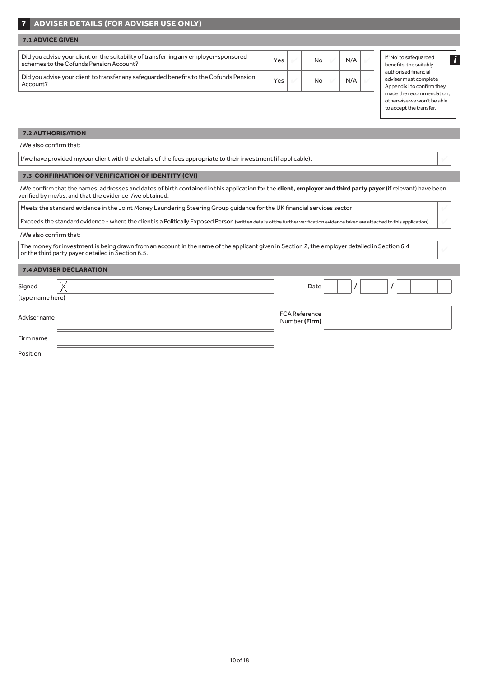# **7 ADVISER DETAILS (FOR ADVISER USE ONLY)**

| <b>7.1 ADVICE GIVEN</b>                                                                                                         |     |    |     |                 |
|---------------------------------------------------------------------------------------------------------------------------------|-----|----|-----|-----------------|
| Did you advise your client on the suitability of transferring any employer-sponsored<br>schemes to the Cofunds Pension Account? | Yes | No | N/A | If'l<br>be      |
| Did you advise your client to transfer any safeguarded benefits to the Cofunds Pension<br>Account?                              | Yes | No | N/A | aut<br>ad<br>Ap |

If 'No' to safeguarded nefits, the suitably thorised financial viser must complete pendix I to confirm they made the recommendation, otherwise we won't be able to accept the transfer.

*i*

#### **7.2 AUTHORISATION**

I/We also confirm that:

I/we have provided my/our client with the details of the fees appropriate to their investment (if applicable). 4

#### **7.3 CONFIRMATION OF VERIFICATION OF IDENTITY (CVI)**

I/We confirm that the names, addresses and dates of birth contained in this application for the **client, employer and third party payer** (if relevant) have been verified by me/us, and that the evidence I/we obtained:

Meets the standard evidence in the Joint Money Laundering Steering Group guidance for the UK financial services sector 4

Exceeds the standard evidence - where the client is a Politically Exposed Person (written details of the further verification evidence taken are attached to this application) 4

#### I/We also confirm that:

The money for investment is being drawn from an account in the name of the applicant given in Section 2, the employer detailed in Section 6.4  $\sim$ 

## **7.4 ADVISER DECLARATION**

| Signed           | Date                                  |
|------------------|---------------------------------------|
| (type name here) |                                       |
| Adviser name     | <b>FCA Reference</b><br>Number (Firm) |
| Firm name        |                                       |
| Position         |                                       |
|                  |                                       |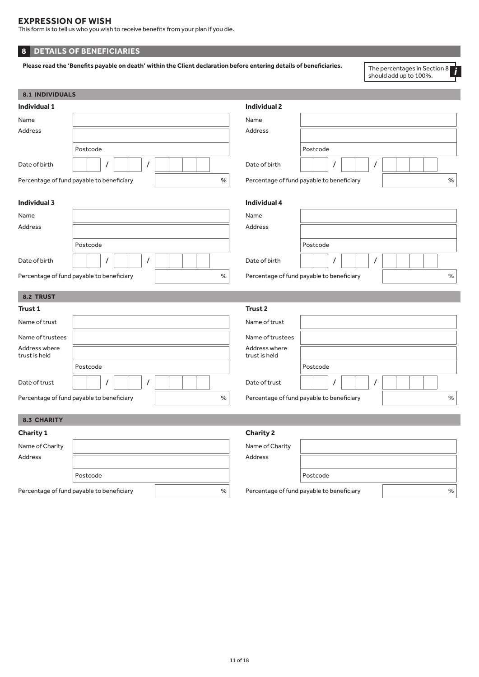# **EXPRESSION OF WISH**

This form is to tell us who you wish to receive benefits from your plan if you die.

# **8 DETAILS OF BENEFICIARIES**

Please read the 'Benefits payable on death' within the Client declaration before entering details of beneficiaries.

The percentages in Section 8<br>should add up to 100%.

| <b>8.1 INDIVIDUALS</b>         |                                                   |                                |                                                   |
|--------------------------------|---------------------------------------------------|--------------------------------|---------------------------------------------------|
| <b>Individual 1</b>            |                                                   | <b>Individual 2</b>            |                                                   |
| Name                           |                                                   | Name                           |                                                   |
| Address                        |                                                   | Address                        |                                                   |
|                                | Postcode                                          |                                | Postcode                                          |
| Date of birth                  | $\prime$<br>7                                     | Date of birth                  | $\prime$                                          |
|                                | $\%$<br>Percentage of fund payable to beneficiary |                                | Percentage of fund payable to beneficiary<br>$\%$ |
| <b>Individual 3</b>            |                                                   | <b>Individual 4</b>            |                                                   |
| Name                           |                                                   | Name                           |                                                   |
| Address                        |                                                   | Address                        |                                                   |
|                                | Postcode                                          |                                | Postcode                                          |
| Date of birth                  | $\prime$<br>7                                     | Date of birth                  | 1                                                 |
|                                | Percentage of fund payable to beneficiary<br>$\%$ |                                | Percentage of fund payable to beneficiary<br>$\%$ |
| <b>8.2 TRUST</b>               |                                                   |                                |                                                   |
| <b>Trust 1</b>                 |                                                   | Trust <sub>2</sub>             |                                                   |
| Name of trust                  |                                                   | Name of trust                  |                                                   |
| Name of trustees               |                                                   | Name of trustees               |                                                   |
| Address where<br>trust is held |                                                   | Address where<br>trust is held |                                                   |
|                                | Postcode                                          |                                | Postcode                                          |
| Date of trust                  | $\prime$                                          | Date of trust                  | $\prime$                                          |
|                                | Percentage of fund payable to beneficiary<br>$\%$ |                                | Percentage of fund payable to beneficiary<br>$\%$ |
| 8.3 CHARITY                    |                                                   |                                |                                                   |
| <b>Charity 1</b>               |                                                   | <b>Charity 2</b>               |                                                   |
| Name of Charity                |                                                   | Name of Charity                |                                                   |
| Address                        |                                                   | Address                        |                                                   |
|                                | Postcode                                          |                                | Postcode                                          |
|                                |                                                   |                                |                                                   |

Percentage of fund payable to beneficiary  $\sim$  |

| Name of Charity<br>Address |                                           |      |
|----------------------------|-------------------------------------------|------|
|                            | Postcode                                  |      |
|                            | Percentage of fund payable to beneficiary | $\%$ |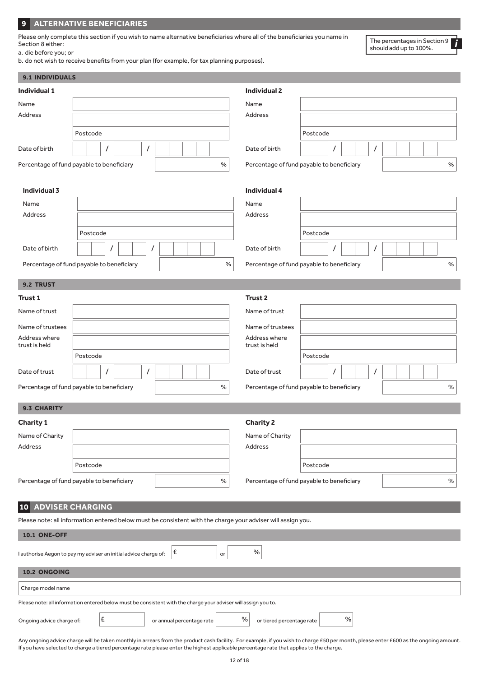# **9 ALTERNATIVE BENEFICIARIES**

Please only complete this section if you wish to name alternative beneficiaries where all of the beneficiaries you name in Section 8 either: a. die before you; or

The percentages in Section 9 should add up to 100%. *i*

b. do not wish to receive benefits from your plan (for example, for tax planning purposes).

| 9.1 INDIVIDUALS                |                                                                                                                |                                   |                                                   |
|--------------------------------|----------------------------------------------------------------------------------------------------------------|-----------------------------------|---------------------------------------------------|
| Individual 1                   |                                                                                                                | <b>Individual 2</b>               |                                                   |
| Name                           |                                                                                                                | Name                              |                                                   |
| Address                        |                                                                                                                | <b>Address</b>                    |                                                   |
|                                | Postcode                                                                                                       |                                   | Postcode                                          |
| Date of birth                  | $\prime$<br>$\prime$                                                                                           | Date of birth                     |                                                   |
|                                |                                                                                                                |                                   | $\prime$                                          |
|                                | Percentage of fund payable to beneficiary<br>$\%$                                                              |                                   | Percentage of fund payable to beneficiary<br>$\%$ |
|                                |                                                                                                                |                                   |                                                   |
| Individual 3                   |                                                                                                                | <b>Individual 4</b>               |                                                   |
| Name<br><b>Address</b>         |                                                                                                                | Name<br>Address                   |                                                   |
|                                |                                                                                                                |                                   |                                                   |
|                                | Postcode                                                                                                       |                                   | Postcode                                          |
| Date of birth                  | $\prime$                                                                                                       | Date of birth                     | $\prime$                                          |
|                                | Percentage of fund payable to beneficiary<br>$\%$                                                              |                                   | $\%$<br>Percentage of fund payable to beneficiary |
|                                |                                                                                                                |                                   |                                                   |
| 9.2 TRUST                      |                                                                                                                |                                   |                                                   |
| Trust 1                        |                                                                                                                | Trust <sub>2</sub>                |                                                   |
| Name of trust                  |                                                                                                                | Name of trust                     |                                                   |
| Name of trustees               |                                                                                                                | Name of trustees                  |                                                   |
| Address where<br>trust is held |                                                                                                                | Address where<br>trust is held    |                                                   |
|                                | Postcode                                                                                                       |                                   | Postcode                                          |
| Date of trust                  | $\prime$<br>$\prime$                                                                                           | Date of trust                     | $\prime$                                          |
|                                | Percentage of fund payable to beneficiary<br>$\%$                                                              |                                   | Percentage of fund payable to beneficiary<br>$\%$ |
|                                |                                                                                                                |                                   |                                                   |
| 9.3 CHARITY                    |                                                                                                                |                                   |                                                   |
| <b>Charity 1</b>               |                                                                                                                | <b>Charity 2</b>                  |                                                   |
| Name of Charity                |                                                                                                                | Name of Charity                   |                                                   |
| Address                        |                                                                                                                | <b>Address</b>                    |                                                   |
|                                | Postcode                                                                                                       |                                   | Postcode                                          |
|                                | Percentage of fund payable to beneficiary<br>%                                                                 |                                   | Percentage of fund payable to beneficiary<br>$\%$ |
|                                |                                                                                                                |                                   |                                                   |
| 10 <sub>l</sub>                | <b>ADVISER CHARGING</b>                                                                                        |                                   |                                                   |
|                                | Please note: all information entered below must be consistent with the charge your adviser will assign you.    |                                   |                                                   |
| <b>10.1 ONE-OFF</b>            |                                                                                                                |                                   |                                                   |
|                                |                                                                                                                |                                   |                                                   |
|                                | E<br>I authorise Aegon to pay my adviser an initial advice charge of:<br>or                                    | $\%$                              |                                                   |
| 10.2 ONGOING                   |                                                                                                                |                                   |                                                   |
| Charge model name              |                                                                                                                |                                   |                                                   |
|                                | Please note: all information entered below must be consistent with the charge your adviser will assign you to. |                                   |                                                   |
| Ongoing advice charge of:      | $\pmb{\epsilon}$<br>or annual percentage rate                                                                  | $\%$<br>or tiered percentage rate | $\%$                                              |

Any ongoing advice charge will be taken monthly in arrears from the product cash facility. For example, if you wish to charge £50 per month, please enter £600 as the ongoing amount. If you have selected to charge a tiered percentage rate please enter the highest applicable percentage rate that applies to the charge.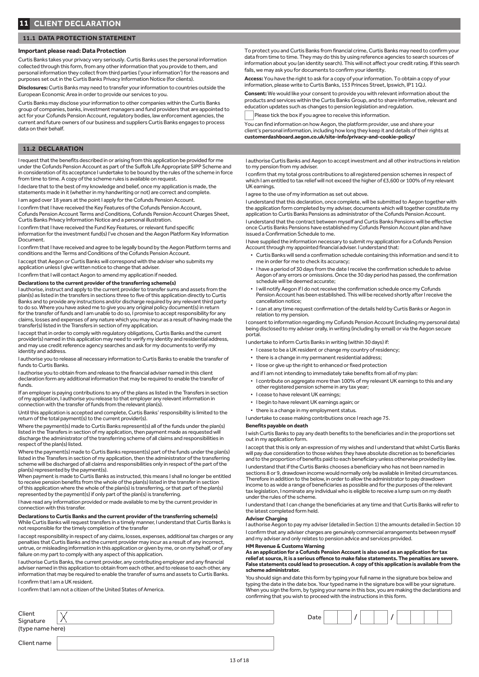#### **11.1 DATA PROTECTION STATEMENT**

#### **Important please read: Data Protection**

Curtis Banks takes your privacy very seriously. Curtis Banks uses the personal information collected through this form, from any other information that you provide to them, and personal information they collect from third parties ('your information') for the reasons and purposes set out in the Curtis Banks Privacy Information Notice (for clients).

**Disclosures:** Curtis Banks may need to transfer your information to countries outside the European Economic Area in order to provide our services to you.

Curtis Banks may disclose your information to other companies within the Curtis Banks group of companies, banks, investment managers and fund providers that are appointed to act for your Cofunds Pension Account, regulatory bodies, law enforcement agencies, the current and future owners of our business and suppliers Curtis Banks engages to process data on their behalf.

#### **11.2 DECLARATION**

I request that the benefits described in or arising from this application be provided for me under the Cofunds Pension Account as part of the Suffolk Life Appropriate SIPP Scheme and in consideration of its acceptance I undertake to be bound by the rules of the scheme in force from time to time. A copy of the scheme rules is available on request.

I declare that to the best of my knowledge and belief, once my application is made, the statements made in it (whether in my handwriting or not) are correct and complete.

I am aged over 18 years at the point I apply for the Cofunds Pension Account.

I confirm that I have received the Key Features of the Cofunds Pension Account, Cofunds Pension Account Terms and Conditions, Cofunds Pension Account Charges Sheet, Curtis Banks Privacy Information Notice and a personal illustration.

I confirm that I have received the Fund Key Features, or relevant fund specific information for the investment fund(s) I've chosen and the Aegon Platform Key Information Document.

I confirm that I have received and agree to be legally bound by the Aegon Platform terms and conditions and the Terms and Conditions of the Cofunds Pension Account.

I accept that Aegon or Curtis Banks will correspond with the adviser who submits my application unless I give written notice to change that adviser.

I confirm that I will contact Aegon to amend my application if needed.

**Declarations to the current provider of the transferring scheme(s)**

I authorise, instruct and apply to the current provider to transfer sums and assets from the plan(s) as listed in the transfers in sections three to five of this application directly to Curtis Banks and to provide any instructions and/or discharge required by any relevant third party to do so. Where you have asked me to give you any original policy document(s) in return for the transfer of funds and I am unable to do so, I promise to accept responsibility for any claims, losses and expenses of any nature which you may incur as a result of having made the transfer(s) listed in the Transfers in section of my application.

I accept that in order to comply with regulatory obligations, Curtis Banks and the current provider(s) named in this application may need to verify my identity and residential address, and may use credit reference agency searches and ask for my documents to verify my identity and address.

I authorise you to release all necessary information to Curtis Banks to enable the transfer of funds to Curtis Banks.

I authorise you to obtain from and release to the financial adviser named in this client declaration form any additional information that may be required to enable the transfer of funds.

If an employer is paying contributions to any of the plans as listed in the Transfers in section of my application, I authorise you release to that employer any relevant information in connection with the transfer of funds from the relevant plan(s).

Until this application is accepted and complete, Curtis Banks' responsibility is limited to the return of the total payment(s) to the current provider(s).

Where the payment(s) made to Curtis Banks represent(s) all of the funds under the plan(s) listed in the Transfers in section of my application, then payment made as requested will discharge the administrator of the transferring scheme of all claims and responsibilities in respect of the plan(s) listed.

Where the payment(s) made to Curtis Banks represent(s) part of the funds under the plan(s) listed in the Transfers in section of my application, then the administrator of the transferring scheme will be discharged of all claims and responsibilities only in respect of the part of the plan(s) represented by the payment(s). When payment is made to Curtis Banks as instructed, this means I shall no longer be entitled

to receive pension benefits from the whole of the plan(s) listed in the transfer in section of this application where the whole of the plan(s) is transferring, or that part of the plan(s) represented by the payment(s) if only part of the plan(s) is transferring.

I have read any information provided or made available to me by the current provider in connection with this transfer.

#### **Declarations to Curtis Banks and the current provider of the transferring scheme(s)** While Curtis Banks will request transfers in a timely manner, I understand that Curtis Banks is

not responsible for the timely completion of the transfer I accept responsibility in respect of any claims, losses, expenses, additional tax charges or any penalties that Curtis Banks and the current provider may incur as a result of any incorrect,

untrue, or misleading information in this application or given by me, or on my behalf, or of any failure on my part to comply with any aspect of this application. I authorise Curtis Banks, the current provider, any contributing employer and any financial

adviser named in this application to obtain from each other, and to release to each other, any information that may be required to enable the transfer of sums and assets to Curtis Banks. I confirm that I am a UK resident.

I confirm that I am not a citizen of the United States of America.

Client<br>Signature (type name here)

Client name

To protect you and Curtis Banks from financial crime, Curtis Banks may need to confirm your data from time to time. They may do this by using reference agencies to search sources of information about you (an identity search). This will not affect your credit rating. If this search fails, we may ask you for documents to confirm your identity.

**Access:** You have the right to ask for a copy of your information. To obtain a copy of your information, please write to Curtis Banks, 153 Princes Street, Ipswich, IP1 1QJ.

**Consent:** We would like your consent to provide you with relevant information about the products and services within the Curtis Banks Group, and to share informative, relevant and education updates such as changes to pension legislation and regulation.

Please tick the box if you agree to receive this information.

You can find information on how Aegon, the platform provider, use and share your client's personal information, including how long they keep it and details of their rights at **[customerdashboard.aegon.co.uk/site-info/privacy-and-cookie-policy/](mailto:aegoncofundsadministration%40aegon.co.uk?subject=)**

I authorise Curtis Banks and Aegon to accept investment and all other instructions in relation to my pension from my adviser.

I confirm that my total gross contributions to all registered pension schemes in respect of which I am entitled to tax relief will not exceed the higher of £3,600 or 100% of my relevant UK earnings.

I agree to the use of my information as set out above.

I understand that this declaration, once complete, will be submitted to Aegon together with the application form completed by my adviser, documents which will together constitute my application to Curtis Banks Pensions as administrator of the Cofunds Pension Account.

I understand that the contract between myself and Curtis Banks Pensions will be effective once Curtis Banks Pensions have established my Cofunds Pension Account plan and have issued a Confirmation Schedule to me.

I have supplied the information necessary to submit my application for a Cofunds Pension Account through my appointed financial adviser. I understand that:

- Curtis Banks will send a confirmation schedule containing this information and send it to me in order for me to check its accuracy;
- I have a period of 30 days from the date I receive the confirmation schedule to advise Aegon of any errors or omissions. Once the 30 day period has passed, the confirmation schedule will be deemed accurate;
- I will notify Aegon if I do not receive the confirmation schedule once my Cofunds Pension Account has been established. This will be received shortly after I receive the cancellation notice;
- I can at any time request confirmation of the details held by Curtis Banks or Aegon in relation to my pension.

I consent to information regarding my Cofunds Pension Account (including my personal data) being disclosed to my adviser orally, in writing (including by email) or via the Aegon secure portal.

I undertake to inform Curtis Banks in writing (within 30 days) if:

- I cease to be a UK resident or change my country of residency;
- there is a change in my permanent residential address;
- I lose or give up the right to enhanced or fixed protection
- and if I am not intending to immediately take benefits from all of my plan:
- I contribute on aggregate more than 100% of my relevant UK earnings to this and any other registered pension scheme in any tax year;
- I cease to have relevant UK earnings;
- I begin to have relevant UK earnings again; or
- there is a change in my employment status.
- I undertake to cease making contributions once I reach age 75.

#### **Benefits payable on death**

I wish Curtis Banks to pay any death benefits to the beneficiaries and in the proportions set out in my application form.

I accept that this is only an expression of my wishes and I understand that whilst Curtis Banks will pay due consideration to those wishes they have absolute discretion as to beneficiaries and to the proportion of benefits paid to each beneficiary unless otherwise provided by law.

I understand that if the Curtis Banks chooses a beneficiary who has not been named in sections 8 or 9, drawdown income would normally only be available in limited circumstances. Therefore in addition to the below, in order to allow the administrator to pay drawdown income to as wide a range of beneficiaries as possible and for the purposes of the relevant tax legislation, I nominate any individual who is eligible to receive a lump sum on my death under the rules of the scheme.

I understand that I can change the beneficiaries at any time and that Curtis Banks will refer to the latest completed form held.

## **Adviser Charging**

I authorise Aegon to pay my adviser (detailed in Section 1) the amounts detailed in Section 10 I confirm that any adviser charges are genuinely commercial arrangements between myself and my adviser and only relates to pension advice and services provided.

#### **HM Revenue & Customs Warning**

**As an application for a Cofunds Pension Account is also used as an application for tax relief at source, it is a serious offence to make false statements. The penalties are severe. False statements could lead to prosecution. A copy of this application is available from the scheme administrator.**

You should sign and date this form by typing your full name in the signature box below and typing the date in the date box. Your typed name in the signature box will be your signature. When you sign the form, by typing your name in this box, you are making the declarations and confirming that you wish to proceed with the instructions in this form.

| Client    | Date |  |  |  |  |  |
|-----------|------|--|--|--|--|--|
| Signature |      |  |  |  |  |  |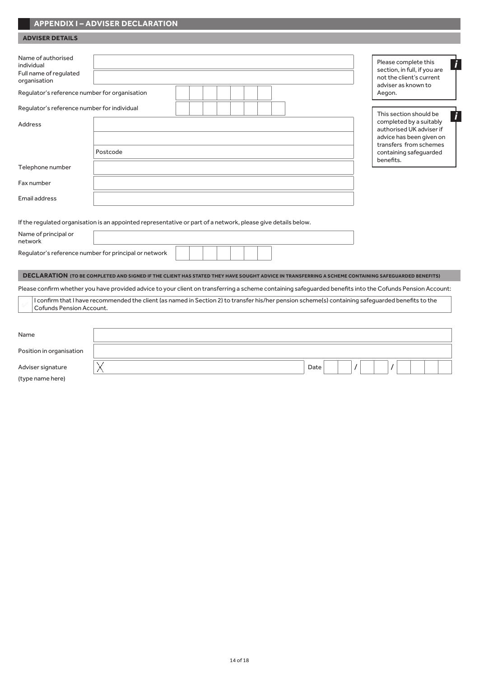# **APPENDIX I – ADVISER DECLARATION**

# **ADVISER DETAILS**

| Name of authorised<br>individual<br>Full name of regulated<br>organisation<br>Regulator's reference number for organisation |                                                                                                                                                           |  |      |  | Aegon. | Please complete this<br>section, in full, if you are<br>not the client's current<br>adviser as known to | i |
|-----------------------------------------------------------------------------------------------------------------------------|-----------------------------------------------------------------------------------------------------------------------------------------------------------|--|------|--|--------|---------------------------------------------------------------------------------------------------------|---|
| Regulator's reference number for individual                                                                                 |                                                                                                                                                           |  |      |  |        | This section should be                                                                                  | i |
| Address                                                                                                                     |                                                                                                                                                           |  |      |  |        | completed by a suitably<br>authorised UK adviser if                                                     |   |
|                                                                                                                             |                                                                                                                                                           |  |      |  |        | advice has been given on<br>transfers from schemes                                                      |   |
|                                                                                                                             | Postcode                                                                                                                                                  |  |      |  |        | containing safeguarded                                                                                  |   |
| Telephone number                                                                                                            |                                                                                                                                                           |  |      |  |        | benefits.                                                                                               |   |
| Fax number                                                                                                                  |                                                                                                                                                           |  |      |  |        |                                                                                                         |   |
| Email address                                                                                                               |                                                                                                                                                           |  |      |  |        |                                                                                                         |   |
|                                                                                                                             | If the regulated organisation is an appointed representative or part of a network, please give details below.                                             |  |      |  |        |                                                                                                         |   |
| Name of principal or<br>network                                                                                             |                                                                                                                                                           |  |      |  |        |                                                                                                         |   |
| Regulator's reference number for principal or network                                                                       |                                                                                                                                                           |  |      |  |        |                                                                                                         |   |
|                                                                                                                             | DECLARATION (TO BE COMPLETED AND SIGNED IF THE CLIENT HAS STATED THEY HAVE SOUGHT ADVICE IN TRANSFERRING A SCHEME CONTAINING SAFEGUARDED BENEFITS)        |  |      |  |        |                                                                                                         |   |
|                                                                                                                             | Please confirm whether you have provided advice to your client on transferring a scheme containing safeguarded benefits into the Cofunds Pension Account: |  |      |  |        |                                                                                                         |   |
| Cofunds Pension Account.                                                                                                    | I confirm that I have recommended the client (as named in Section 2) to transfer his/her pension scheme(s) containing safequarded benefits to the         |  |      |  |        |                                                                                                         |   |
|                                                                                                                             |                                                                                                                                                           |  |      |  |        |                                                                                                         |   |
| Name                                                                                                                        |                                                                                                                                                           |  |      |  |        |                                                                                                         |   |
| Position in organisation                                                                                                    |                                                                                                                                                           |  |      |  |        |                                                                                                         |   |
| Adviser signature                                                                                                           |                                                                                                                                                           |  | Date |  |        |                                                                                                         |   |

(type name here)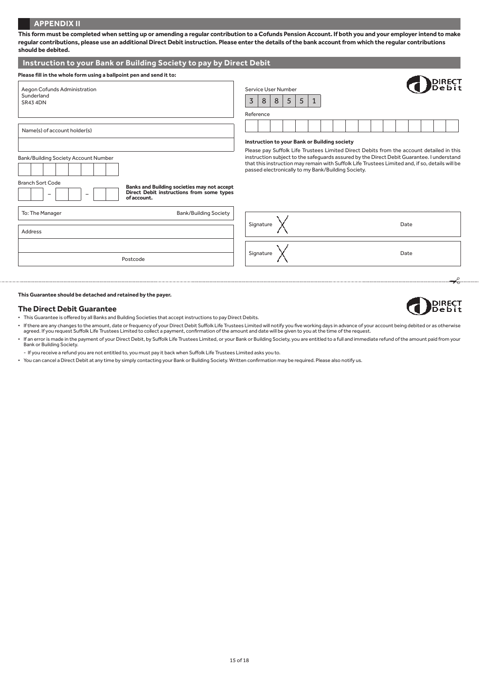# **APPENDIX II**

| should be debited.                                                                                                                                                         |                                                                                                                                                                                                                                                                                                                                                                                                |
|----------------------------------------------------------------------------------------------------------------------------------------------------------------------------|------------------------------------------------------------------------------------------------------------------------------------------------------------------------------------------------------------------------------------------------------------------------------------------------------------------------------------------------------------------------------------------------|
| Instruction to your Bank or Building Society to pay by Direct Debit                                                                                                        |                                                                                                                                                                                                                                                                                                                                                                                                |
| Please fill in the whole form using a ballpoint pen and send it to:                                                                                                        |                                                                                                                                                                                                                                                                                                                                                                                                |
| Aegon Cofunds Administration<br>Sunderland<br><b>SR43 4DN</b>                                                                                                              | Service User Number<br>3<br>5<br>$5\overline{)}$<br>8<br>8<br>1<br>Reference                                                                                                                                                                                                                                                                                                                   |
| Name(s) of account holder(s)                                                                                                                                               |                                                                                                                                                                                                                                                                                                                                                                                                |
| Bank/Building Society Account Number<br><b>Branch Sort Code</b><br>Banks and Building societies may not accept<br>Direct Debit instructions from some types<br>of account. | Instruction to your Bank or Building society<br>Please pay Suffolk Life Trustees Limited Direct Debits from the account detailed in this<br>instruction subject to the safeguards assured by the Direct Debit Guarantee. I understand<br>that this instruction may remain with Suffolk Life Trustees Limited and, if so, details will be<br>passed electronically to my Bank/Building Society. |
| <b>Bank/Building Society</b><br>To: The Manager<br>Address                                                                                                                 | Signature $\lambda$<br>Date                                                                                                                                                                                                                                                                                                                                                                    |
| Postcode                                                                                                                                                                   | Signature<br>Date                                                                                                                                                                                                                                                                                                                                                                              |
|                                                                                                                                                                            |                                                                                                                                                                                                                                                                                                                                                                                                |

**This form must be completed when setting up or amending a regular contribution to a Cofunds Pension Account. If both you and your employer intend to make regular contributions, please use an additional Direct Debit instruction. Please enter the details of the bank account from which the regular contributions** 

**This Guarantee should be detached and retained by the payer.**

#### **The Direct Debit Guarantee**

- This Guarantee is offered by all Banks and Building Societies that accept instructions to pay Direct Debits.
- If there are any changes to the amount, date or frequency of your Direct Debit Suffolk Life Trustees Limited will notify you five working days in advance of your account being debited or as otherwise agreed. If you request
- If an error is made in the payment of your Direct Debit, by Suffolk Life Trustees Limited, or your Bank or Building Society, you are entitled to a full and immediate refund of the amount paid from your Bank or Building Society.
- If you receive a refund you are not entitled to, you must pay it back when Suffolk Life Trustees Limited asks you to.
- You can cancel a Direct Debit at any time by simply contacting your Bank or Building Society. Written confirmation may be required. Please also notify us.

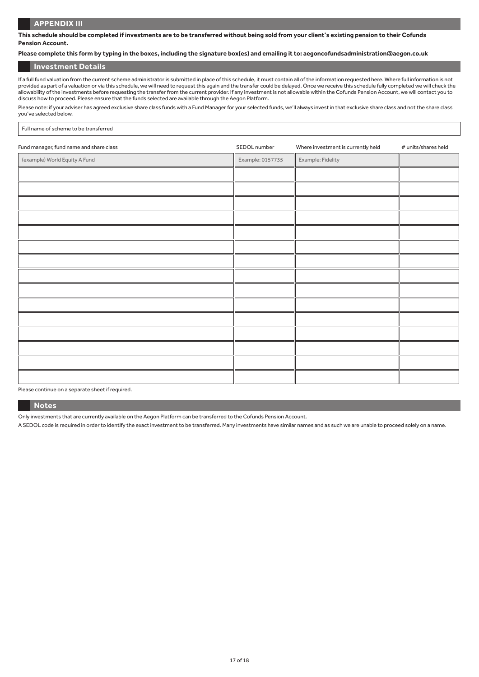## **APPENDIX III**

**This schedule should be completed if investments are to be transferred without being sold from your client's existing pension to their Cofunds Pension Account.**

## **Please complete this form by typing in the boxes, including the signature box(es) and emailing it to: aegoncofundsadministration@aegon.co.uk**

## **Investment Details**

If a full fund valuation from the current scheme administrator is submitted in place of this schedule, it must contain all of the information requested here. Where full information is not provided as part of a valuation or via this schedule, we will need to request this again and the transfer could be delayed. Once we receive this schedule fully completed we will check the allowability of the investments before requesting the transfer from the current provider. If any investment is not allowable within the Cofunds Pension Account, we will contact you to discuss how to proceed. Please ensure that the funds selected are available through the Aegon Platform.

Please note: if your adviser has agreed exclusive share class funds with a Fund Manager for your selected funds, we'll always invest in that exclusive share class and not the share class you've selected below.

#### Full name of scheme to be transferred

| Fund manager, fund name and share class | SEDOL number     | Where investment is currently held | # units/shares held |
|-----------------------------------------|------------------|------------------------------------|---------------------|
| (example) World Equity A Fund           | Example: 0157735 | Example: Fidelity                  |                     |
|                                         |                  |                                    |                     |
|                                         |                  |                                    |                     |
|                                         |                  |                                    |                     |
|                                         |                  |                                    |                     |
|                                         |                  |                                    |                     |
|                                         |                  |                                    |                     |
|                                         |                  |                                    |                     |
|                                         |                  |                                    |                     |
|                                         |                  |                                    |                     |
|                                         |                  |                                    |                     |
|                                         |                  |                                    |                     |
|                                         |                  |                                    |                     |
|                                         |                  |                                    |                     |
|                                         |                  |                                    |                     |
|                                         |                  |                                    |                     |

Please continue on a separate sheet if required.

#### **Notes**

Only investments that are currently available on the Aegon Platform can be transferred to the Cofunds Pension Account.

A SEDOL code is required in order to identify the exact investment to be transferred. Many investments have similar names and as such we are unable to proceed solely on a name.